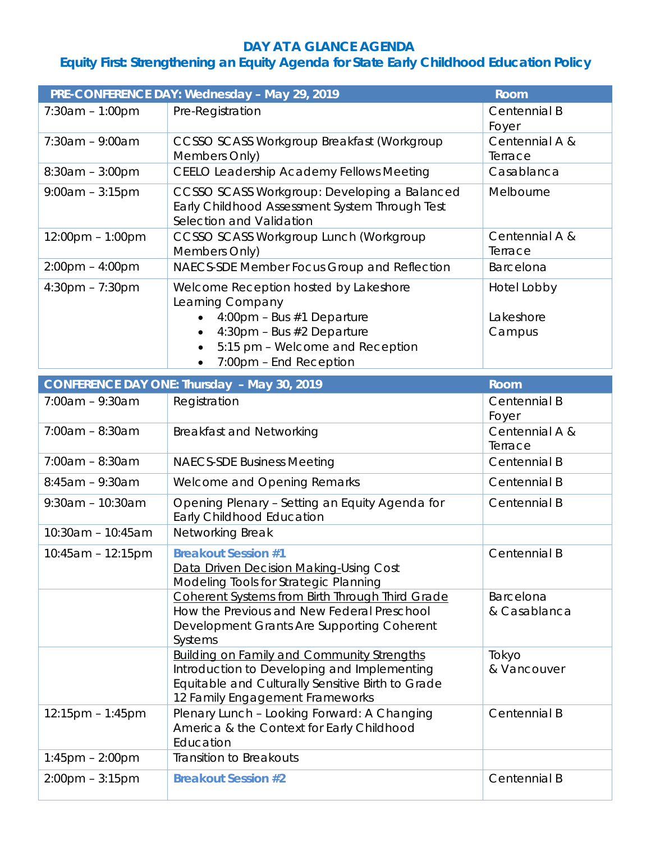## **DAY AT A GLANCE AGENDA**

## **Equity First: Strengthening an Equity Agenda for State Early Childhood Education Policy**

|                                                                   | PRE-CONFERENCE DAY: Wednesday - May 29, 2019                                                                                                                                             | <b>Room</b>               |  |
|-------------------------------------------------------------------|------------------------------------------------------------------------------------------------------------------------------------------------------------------------------------------|---------------------------|--|
| $7:30am - 1:00pm$                                                 | Pre-Registration                                                                                                                                                                         | Centennial B<br>Foyer     |  |
| $7:30am - 9:00am$                                                 | CCSSO SCASS Workgroup Breakfast (Workgroup<br>Members Only)                                                                                                                              | Centennial A &<br>Terrace |  |
| $8:30am - 3:00pm$                                                 | <b>CEELO Leadership Academy Fellows Meeting</b>                                                                                                                                          | Casablanca                |  |
| $9:00am - 3:15pm$                                                 | CCSSO SCASS Workgroup: Developing a Balanced<br>Early Childhood Assessment System Through Test<br>Selection and Validation                                                               | Melbourne                 |  |
| $12:00 \text{pm} - 1:00 \text{pm}$                                | CCSSO SCASS Workgroup Lunch (Workgroup<br>Members Only)                                                                                                                                  | Centennial A &<br>Terrace |  |
| $2:00 \text{pm} - 4:00 \text{pm}$                                 | NAECS-SDE Member Focus Group and Reflection                                                                                                                                              | Barcelona                 |  |
| $4:30$ pm – 7:30pm                                                | Welcome Reception hosted by Lakeshore<br>Learning Company                                                                                                                                | Hotel Lobby               |  |
|                                                                   | 4:00pm - Bus #1 Departure<br>$\bullet$                                                                                                                                                   | Lakeshore                 |  |
|                                                                   | 4:30pm - Bus #2 Departure<br>5:15 pm - Welcome and Reception                                                                                                                             | Campus                    |  |
|                                                                   | 7:00pm - End Reception<br>$\bullet$                                                                                                                                                      |                           |  |
| <b>CONFERENCE DAY ONE: Thursday - May 30, 2019</b><br><b>Room</b> |                                                                                                                                                                                          |                           |  |
| $7:00am - 9:30am$                                                 | Registration                                                                                                                                                                             | Centennial B              |  |
|                                                                   |                                                                                                                                                                                          | Foyer                     |  |
| $7:00am - 8:30am$                                                 | <b>Breakfast and Networking</b>                                                                                                                                                          | Centennial A &<br>Terrace |  |
| $7:00am - 8:30am$                                                 | <b>NAECS-SDE Business Meeting</b>                                                                                                                                                        | Centennial B              |  |
| $8:45am - 9:30am$                                                 | Welcome and Opening Remarks                                                                                                                                                              | Centennial B              |  |
| $9:30am - 10:30am$                                                | Opening Plenary - Setting an Equity Agenda for<br>Early Childhood Education                                                                                                              | Centennial B              |  |
| 10:30am - 10:45am                                                 | Networking Break                                                                                                                                                                         |                           |  |
| $10:45am - 12:15pm$                                               | <b>Breakout Session #1</b><br>Data Driven Decision Making-Using Cost<br>Modeling Tools for Strategic Planning                                                                            | Centennial B              |  |
|                                                                   | Coherent Systems from Birth Through Third Grade<br>How the Previous and New Federal Preschool<br>Development Grants Are Supporting Coherent<br>Systems                                   | Barcelona<br>& Casablanca |  |
|                                                                   | <b>Building on Family and Community Strengths</b><br>Introduction to Developing and Implementing<br>Equitable and Culturally Sensitive Birth to Grade<br>12 Family Engagement Frameworks | Tokyo<br>& Vancouver      |  |
| $12:15$ pm – 1:45pm                                               | Plenary Lunch - Looking Forward: A Changing<br>America & the Context for Early Childhood<br>Education                                                                                    | Centennial B              |  |
| $1:45$ pm $- 2:00$ pm                                             | <b>Transition to Breakouts</b>                                                                                                                                                           |                           |  |
| $2:00 \text{pm} - 3:15 \text{pm}$                                 | <b>Breakout Session #2</b>                                                                                                                                                               | Centennial B              |  |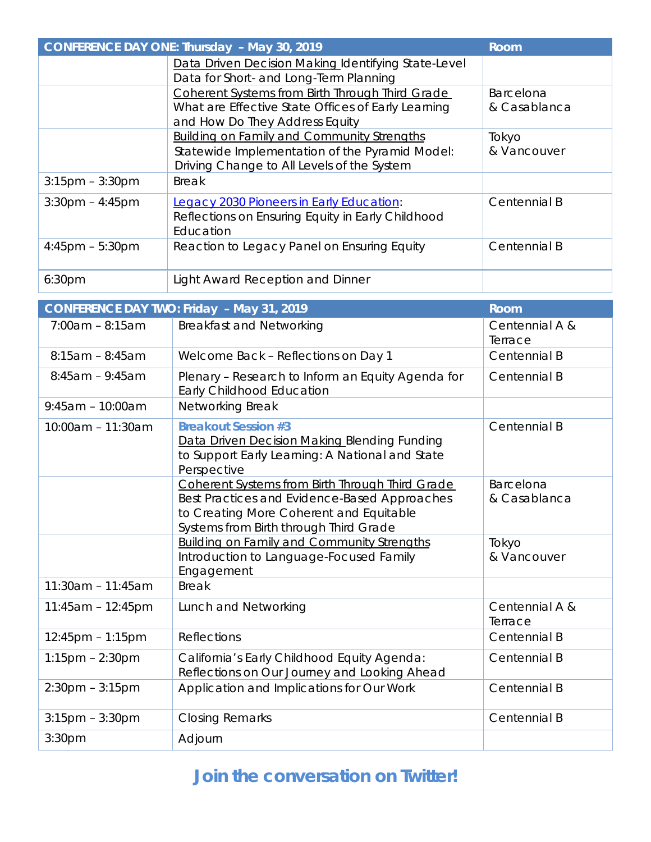| <b>CONFERENCE DAY ONE: Thursday - May 30, 2019</b><br>Room |                                                                                                                                                   |                                  |  |  |
|------------------------------------------------------------|---------------------------------------------------------------------------------------------------------------------------------------------------|----------------------------------|--|--|
|                                                            | Data Driven Decision Making Identifying State-Level<br>Data for Short- and Long-Term Planning                                                     |                                  |  |  |
|                                                            | Coherent Systems from Birth Through Third Grade<br>What are Effective State Offices of Early Learning<br>and How Do They Address Equity           | <b>Barcelona</b><br>& Casablanca |  |  |
|                                                            | <b>Building on Family and Community Strengths</b><br>Statewide Implementation of the Pyramid Model:<br>Driving Change to All Levels of the System | Tokyo<br>& Vancouver             |  |  |
| $3:15$ pm – $3:30$ pm                                      | <b>Break</b>                                                                                                                                      |                                  |  |  |
| $3:30$ pm – 4:45pm                                         | Legacy 2030 Pioneers in Early Education:<br>Reflections on Ensuring Equity in Early Childhood<br>Education                                        | Centennial B                     |  |  |
| $4:45$ pm – 5:30pm                                         | Reaction to Legacy Panel on Ensuring Equity                                                                                                       | Centennial B                     |  |  |
| 6:30 <sub>pm</sub>                                         | Light Award Reception and Dinner                                                                                                                  |                                  |  |  |

|                       | <b>CONFERENCE DAY TWO: Friday - May 31, 2019</b>                                                                                                                                     | Room                      |
|-----------------------|--------------------------------------------------------------------------------------------------------------------------------------------------------------------------------------|---------------------------|
| $7:00am - 8:15am$     | <b>Breakfast and Networking</b>                                                                                                                                                      | Centennial A &            |
|                       |                                                                                                                                                                                      | Terrace                   |
| $8:15am - 8:45am$     | Welcome Back - Reflections on Day 1                                                                                                                                                  | Centennial B              |
| $8:45am - 9:45am$     | Plenary - Research to Inform an Equity Agenda for<br>Early Childhood Education                                                                                                       | Centennial B              |
| $9:45am - 10:00am$    | Networking Break                                                                                                                                                                     |                           |
| 10:00am - 11:30am     | <b>Breakout Session #3</b><br>Data Driven Decision Making Blending Funding<br>to Support Early Learning: A National and State<br>Perspective                                         | Centennial B              |
|                       | Coherent Systems from Birth Through Third Grade<br>Best Practices and Evidence-Based Approaches<br>to Creating More Coherent and Equitable<br>Systems from Birth through Third Grade | Barcelona<br>& Casablanca |
|                       | <b>Building on Family and Community Strengths</b><br>Introduction to Language-Focused Family<br>Engagement                                                                           | Tokyo<br>& Vancouver      |
| $11:30am - 11:45am$   | <b>Break</b>                                                                                                                                                                         |                           |
| $11:45am - 12:45pm$   | Lunch and Networking                                                                                                                                                                 | Centennial A &<br>Terrace |
| $12:45$ pm – 1:15pm   | <b>Reflections</b>                                                                                                                                                                   | Centennial B              |
| $1:15$ pm $- 2:30$ pm | California's Early Childhood Equity Agenda:<br>Reflections on Our Journey and Looking Ahead                                                                                          | Centennial B              |
| $2:30$ pm – $3:15$ pm | Application and Implications for Our Work                                                                                                                                            | Centennial B              |
| $3:15$ pm $-3:30$ pm  | <b>Closing Remarks</b>                                                                                                                                                               | Centennial B              |
| 3:30pm                | Adjourn                                                                                                                                                                              |                           |

## **Join the conversation on Twitter!**